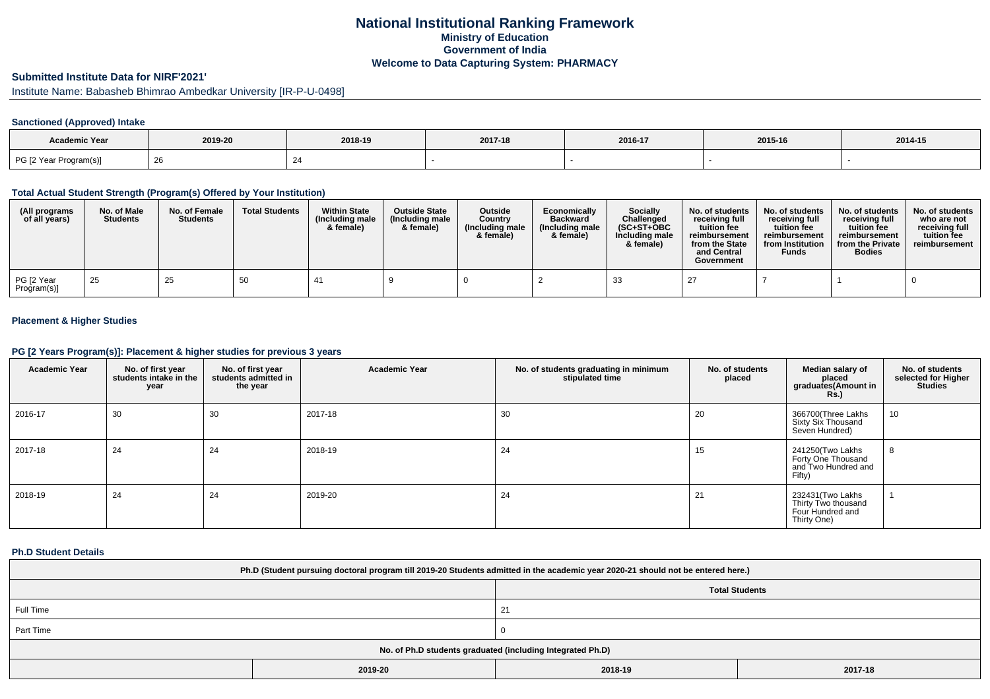# **National Institutional Ranking FrameworkMinistry of Education Government of IndiaWelcome to Data Capturing System: PHARMACY**

# **Submitted Institute Data for NIRF'2021'**

Institute Name: Babasheb Bhimrao Ambedkar University [IR-P-U-0498]

### **Sanctioned (Approved) Intake**

| <b>Academic Year</b>   | 2019-20 | 2018-19 | 2017-18 | 2016-17 | 2015-16 | 2014-15 |
|------------------------|---------|---------|---------|---------|---------|---------|
| PG [2 Year Program(s)] | ∠⊂      |         |         |         |         |         |

#### **Total Actual Student Strength (Program(s) Offered by Your Institution)**

| (All programs<br>of all years) | No. of Male<br><b>Students</b> | No. of Female<br><b>Students</b> | <b>Total Students</b> | <b>Within State</b><br>(Including male<br>& female) | <b>Outside State</b><br>(Including male<br>& female) | Outside<br>Country<br>(Including male<br>& female) | Economically<br><b>Backward</b><br>(Including male<br>& female) | <b>Socially</b><br>Challenged<br>$(SC+ST+OBC$<br>Including male<br>& female) | No. of students<br>receivina full<br>tuition fee<br>reimbursement<br>from the State<br>and Central<br>Government | No. of students<br>receiving full<br>tuition fee<br>reimbursement<br>from Institution<br><b>Funds</b> | No. of students<br>receiving full<br>tuition fee<br>reimbursement<br>from the Private<br><b>Bodies</b> | No. of students  <br>who are not<br>receivina full<br>tuition fee<br>reimbursement |
|--------------------------------|--------------------------------|----------------------------------|-----------------------|-----------------------------------------------------|------------------------------------------------------|----------------------------------------------------|-----------------------------------------------------------------|------------------------------------------------------------------------------|------------------------------------------------------------------------------------------------------------------|-------------------------------------------------------------------------------------------------------|--------------------------------------------------------------------------------------------------------|------------------------------------------------------------------------------------|
| PG [2 Year<br>Program(s)]      | 25                             | 25                               | 50                    |                                                     |                                                      |                                                    |                                                                 | 33                                                                           |                                                                                                                  |                                                                                                       |                                                                                                        |                                                                                    |

### **Placement & Higher Studies**

#### **PG [2 Years Program(s)]: Placement & higher studies for previous 3 years**

| <b>Academic Year</b> | No. of first year<br>students intake in the<br>year | No. of first year<br>students admitted in<br>the year | <b>Academic Year</b> | No. of students graduating in minimum<br>stipulated time | No. of students<br>placed | Median salary of<br>placed<br>graduates(Amount in<br><b>Rs.)</b>            | No. of students<br>selected for Higher<br><b>Studies</b> |
|----------------------|-----------------------------------------------------|-------------------------------------------------------|----------------------|----------------------------------------------------------|---------------------------|-----------------------------------------------------------------------------|----------------------------------------------------------|
| 2016-17              | 30                                                  | 30                                                    | 2017-18              | 30                                                       | 20                        | 366700(Three Lakhs<br>Sixty Six Thousand<br>Seven Hundred)                  | 10                                                       |
| 2017-18              | 24                                                  | 24                                                    | 2018-19              | 24                                                       | 15                        | 241250(Two Lakhs<br>Forty One Thousand<br>and Two Hundred and<br>Fifty)     | 8                                                        |
| 2018-19              | 24                                                  | 24                                                    | 2019-20              | 24                                                       | 21                        | 232431 (Two Lakhs<br>Thirty Two thousand<br>Four Hundred and<br>Thirty One) |                                                          |

#### **Ph.D Student Details**

| Ph.D (Student pursuing doctoral program till 2019-20 Students admitted in the academic year 2020-21 should not be entered here.) |         |         |         |  |
|----------------------------------------------------------------------------------------------------------------------------------|---------|---------|---------|--|
| <b>Total Students</b>                                                                                                            |         |         |         |  |
| Full Time                                                                                                                        |         | ∠⊣      |         |  |
| Part Time                                                                                                                        |         |         |         |  |
| No. of Ph.D students graduated (including Integrated Ph.D)                                                                       |         |         |         |  |
|                                                                                                                                  | 2019-20 | 2018-19 | 2017-18 |  |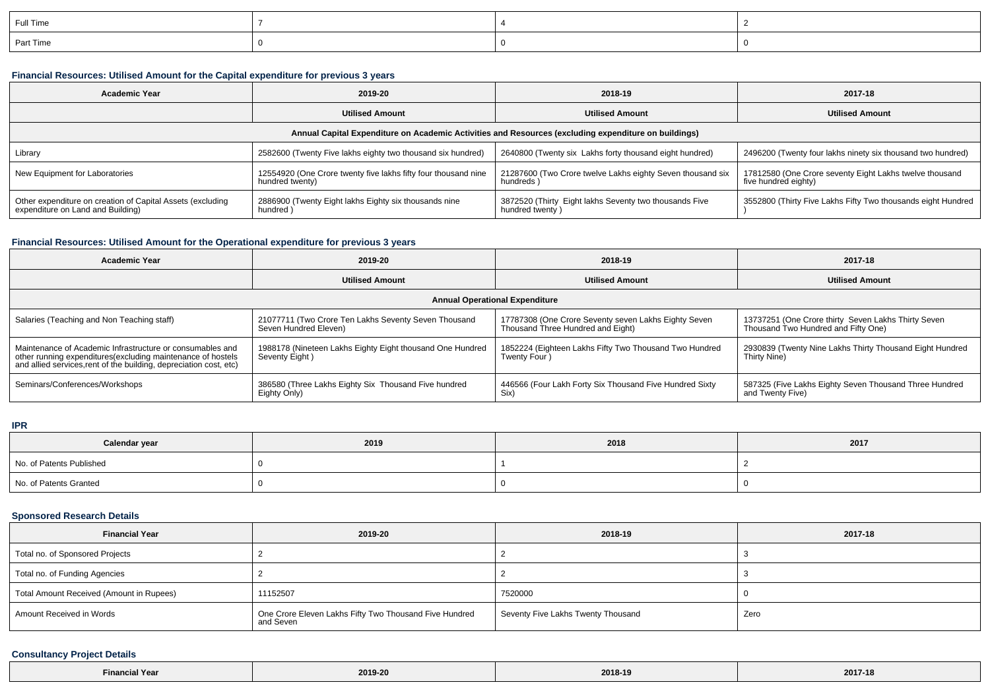| Full Time |  |  |
|-----------|--|--|
| Part Time |  |  |

### **Financial Resources: Utilised Amount for the Capital expenditure for previous 3 years**

| <b>Academic Year</b>                                                                                 | 2019-20                                                                           | 2018-19                                                                   | 2017-18                                                                         |  |  |
|------------------------------------------------------------------------------------------------------|-----------------------------------------------------------------------------------|---------------------------------------------------------------------------|---------------------------------------------------------------------------------|--|--|
|                                                                                                      | <b>Utilised Amount</b>                                                            | <b>Utilised Amount</b>                                                    | <b>Utilised Amount</b>                                                          |  |  |
| Annual Capital Expenditure on Academic Activities and Resources (excluding expenditure on buildings) |                                                                                   |                                                                           |                                                                                 |  |  |
| Library                                                                                              | 2582600 (Twenty Five lakhs eighty two thousand six hundred)                       | 2640800 (Twenty six Lakhs forty thousand eight hundred)                   | 2496200 (Twenty four lakhs ninety six thousand two hundred)                     |  |  |
| New Equipment for Laboratories                                                                       | 12554920 (One Crore twenty five lakhs fifty four thousand nine<br>hundred twenty) | 21287600 (Two Crore twelve Lakhs eighty Seven thousand six<br>hundreds)   | 17812580 (One Crore seventy Eight Lakhs twelve thousand<br>five hundred eighty) |  |  |
| Other expenditure on creation of Capital Assets (excluding<br>expenditure on Land and Building)      | 2886900 (Twenty Eight lakhs Eighty six thousands nine<br>hundred)                 | 3872520 (Thirty Eight lakhs Seventy two thousands Five<br>hundred twenty) | 3552800 (Thirty Five Lakhs Fifty Two thousands eight Hundred                    |  |  |

## **Financial Resources: Utilised Amount for the Operational expenditure for previous 3 years**

| Academic Year                                                                                                                                                                                   | 2019-20                                                                        | 2018-19                                                                                   | 2017-18                                                                                    |  |  |
|-------------------------------------------------------------------------------------------------------------------------------------------------------------------------------------------------|--------------------------------------------------------------------------------|-------------------------------------------------------------------------------------------|--------------------------------------------------------------------------------------------|--|--|
|                                                                                                                                                                                                 | <b>Utilised Amount</b>                                                         | <b>Utilised Amount</b>                                                                    | <b>Utilised Amount</b>                                                                     |  |  |
| <b>Annual Operational Expenditure</b>                                                                                                                                                           |                                                                                |                                                                                           |                                                                                            |  |  |
| Salaries (Teaching and Non Teaching staff)                                                                                                                                                      | 21077711 (Two Crore Ten Lakhs Seventy Seven Thousand<br>Seven Hundred Eleven)  | 17787308 (One Crore Seventy seven Lakhs Eighty Seven<br>Thousand Three Hundred and Eight) | 13737251 (One Crore thirty Seven Lakhs Thirty Seven<br>Thousand Two Hundred and Fifty One) |  |  |
| Maintenance of Academic Infrastructure or consumables and<br>other running expenditures (excluding maintenance of hostels<br>and allied services, rent of the building, depreciation cost, etc) | 1 1988178 (Nineteen Lakhs Eighty Eight thousand One Hundred<br>Seventy Eight ) | 1852224 (Eighteen Lakhs Fifty Two Thousand Two Hundred<br>Twenty Four                     | 2930839 (Twenty Nine Lakhs Thirty Thousand Eight Hundred<br>Thirty Nine)                   |  |  |
| Seminars/Conferences/Workshops                                                                                                                                                                  | 386580 (Three Lakhs Eighty Six Thousand Five hundred<br>Eighty Only)           | 446566 (Four Lakh Forty Six Thousand Five Hundred Sixty<br>Six)                           | 587325 (Five Lakhs Eighty Seven Thousand Three Hundred<br>and Twenty Five)                 |  |  |

**IPR**

| Calendar year            | 2019 | 2018 | 2017 |
|--------------------------|------|------|------|
| No. of Patents Published |      |      |      |
| No. of Patents Granted   |      |      |      |

# **Sponsored Research Details**

| <b>Financial Year</b>                    | 2019-20                                                             | 2018-19                            | 2017-18 |
|------------------------------------------|---------------------------------------------------------------------|------------------------------------|---------|
| Total no. of Sponsored Projects          |                                                                     |                                    |         |
| Total no. of Funding Agencies            |                                                                     |                                    |         |
| Total Amount Received (Amount in Rupees) | 11152507                                                            | 7520000                            |         |
| Amount Received in Words                 | One Crore Eleven Lakhs Fifty Two Thousand Five Hundred<br>and Seven | Seventy Five Lakhs Twenty Thousand | Zero    |

## **Consultancy Project Details**

| naial Vaar<br>-inancial<br>. | the contract of the contract of the<br>2019-20 | 2018-19 | 2017-18 |
|------------------------------|------------------------------------------------|---------|---------|
|                              |                                                |         |         |